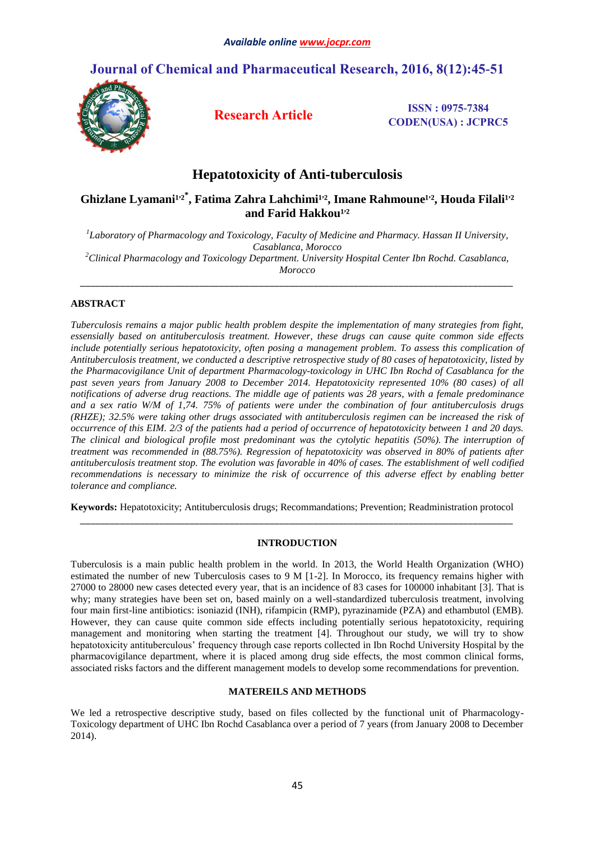# **Journal of Chemical and Pharmaceutical Research, 2016, 8(12):45-51**



**Research Article ISSN : 0975-7384 CODEN(USA) : JCPRC5**

# **Hepatotoxicity of Anti-tuberculosis**

# Ghizlane Lyamani<sup>1,2\*</sup>, Fatima Zahra Lahchimi<sup>1,2</sup>, Imane Rahmoune<sup>1,2</sup>, Houda Filali<sup>1,2</sup> and Farid Hakkou<sup>1,2</sup>

*1 Laboratory of Pharmacology and Toxicology, Faculty of Medicine and Pharmacy. Hassan II University, Casablanca, Morocco <sup>2</sup>Clinical Pharmacology and Toxicology Department. University Hospital Center Ibn Rochd. Casablanca, Morocco*

*\_\_\_\_\_\_\_\_\_\_\_\_\_\_\_\_\_\_\_\_\_\_\_\_\_\_\_\_\_\_\_\_\_\_\_\_\_\_\_\_\_\_\_\_\_\_\_\_\_\_\_\_\_\_\_\_\_\_\_\_\_\_\_\_\_\_\_\_\_\_\_\_\_\_\_\_\_\_\_\_\_\_\_\_\_\_\_*

# **ABSTRACT**

*Tuberculosis remains a major public health problem despite the implementation of many strategies from fight, essensially based on antituberculosis treatment. However, these drugs can cause quite common side effects include potentially serious hepatotoxicity, often posing a management problem. To assess this complication of Antituberculosis treatment, we conducted a descriptive retrospective study of 80 cases of hepatotoxicity, listed by the Pharmacovigilance Unit of department Pharmacology-toxicology in UHC Ibn Rochd of Casablanca for the past seven years from January 2008 to December 2014. Hepatotoxicity represented 10% (80 cases) of all notifications of adverse drug reactions. The middle age of patients was 28 years, with a female predominance and a sex ratio W/M of 1,74. 75% of patients were under the combination of four antituberculosis drugs (RHZE); 32.5% were taking other drugs associated with antituberculosis regimen can be increased the risk of occurrence of this EIM. 2/3 of the patients had a period of occurrence of hepatotoxicity between 1 and 20 days. The clinical and biological profile most predominant was the cytolytic hepatitis (50%). The interruption of treatment was recommended in (88.75%). Regression of hepatotoxicity was observed in 80% of patients after antituberculosis treatment stop. The evolution was favorable in 40% of cases. The establishment of well codified recommendations is necessary to minimize the risk of occurrence of this adverse effect by enabling better tolerance and compliance.*

**Keywords:** Hepatotoxicity; Antituberculosis drugs; Recommandations; Prevention; Readministration protocol *\_\_\_\_\_\_\_\_\_\_\_\_\_\_\_\_\_\_\_\_\_\_\_\_\_\_\_\_\_\_\_\_\_\_\_\_\_\_\_\_\_\_\_\_\_\_\_\_\_\_\_\_\_\_\_\_\_\_\_\_\_\_\_\_\_\_\_\_\_\_\_\_\_\_\_\_\_\_\_\_\_\_\_\_\_\_\_*

# **INTRODUCTION**

Tuberculosis is a main public health problem in the world. In 2013, the World Health Organization (WHO) estimated the number of new Tuberculosis cases to 9 M [1-2]. In Morocco, its frequency remains higher with 27000 to 28000 new cases detected every year, that is an incidence of 83 cases for 100000 inhabitant [3]. That is why; many strategies have been set on, based mainly on a well-standardized tuberculosis treatment, involving four main first-line antibiotics: isoniazid (INH), rifampicin (RMP), pyrazinamide (PZA) and ethambutol (EMB). However, they can cause quite common side effects including potentially serious hepatotoxicity, requiring management and monitoring when starting the treatment [4]. Throughout our study, we will try to show hepatotoxicity antituberculous' frequency through case reports collected in Ibn Rochd University Hospital by the pharmacovigilance department, where it is placed among drug side effects, the most common clinical forms, associated risks factors and the different management models to develop some recommendations for prevention.

# **MATEREILS AND METHODS**

We led a retrospective descriptive study, based on files collected by the functional unit of Pharmacology-Toxicology department of UHC Ibn Rochd Casablanca over a period of 7 years (from January 2008 to December 2014).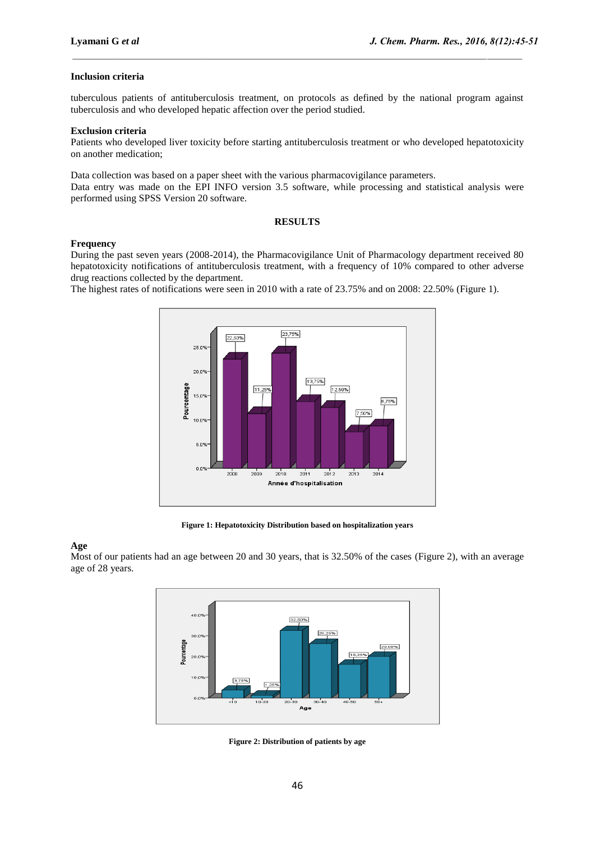## **Inclusion criteria**

tuberculous patients of antituberculosis treatment, on protocols as defined by the national program against tuberculosis and who developed hepatic affection over the period studied.

 $\_$  , and the state of the state of the state of the state of the state of the state of the state of the state of the state of the state of the state of the state of the state of the state of the state of the state of the

## **Exclusion criteria**

Patients who developed liver toxicity before starting antituberculosis treatment or who developed hepatotoxicity on another medication;

Data collection was based on a paper sheet with the various pharmacovigilance parameters.

Data entry was made on the EPI INFO version 3.5 software, while processing and statistical analysis were performed using SPSS Version 20 software.

## **RESULTS**

### **Frequency**

During the past seven years (2008-2014), the Pharmacovigilance Unit of Pharmacology department received 80 hepatotoxicity notifications of antituberculosis treatment, with a frequency of 10% compared to other adverse drug reactions collected by the department.

The highest rates of notifications were seen in 2010 with a rate of 23.75% and on 2008: 22.50% (Figure 1).



**Figure 1: Hepatotoxicity Distribution based on hospitalization years**

# **Age**

Most of our patients had an age between 20 and 30 years, that is 32.50% of the cases (Figure 2), with an average age of 28 years.



**Figure 2: Distribution of patients by age**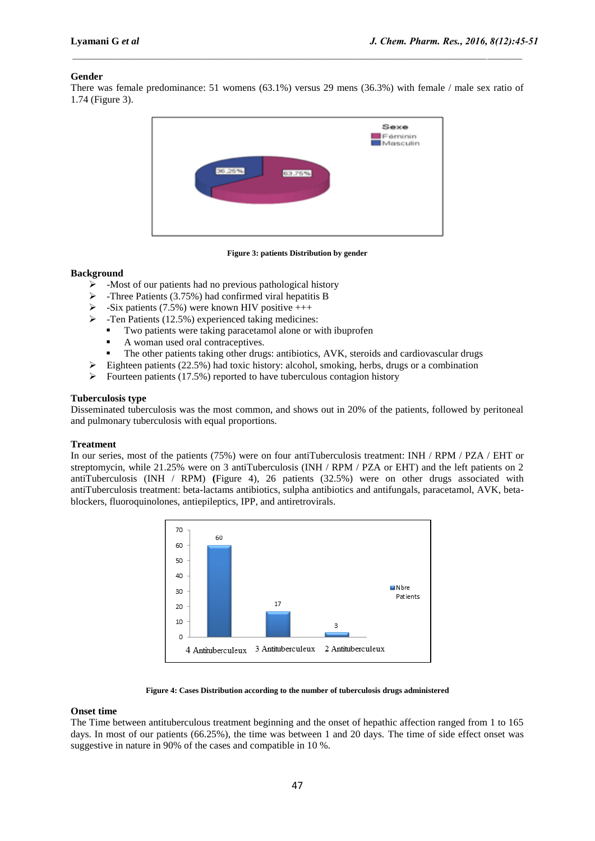# **Gender**

There was female predominance: 51 womens (63.1%) versus 29 mens (36.3%) with female / male sex ratio of 1.74 (Figure 3).

 $\_$  , and the state of the state of the state of the state of the state of the state of the state of the state of the state of the state of the state of the state of the state of the state of the state of the state of the



**Figure 3: patients Distribution by gender**

### **Background**

- $\triangleright$  -Most of our patients had no previous pathological history
- $\triangleright$  -Three Patients (3.75%) had confirmed viral hepatitis B
- $\triangleright$  -Six patients (7.5%) were known HIV positive  $++$
- $\triangleright$  -Ten Patients (12.5%) experienced taking medicines:
	- Two patients were taking paracetamol alone or with ibuprofen
	- A woman used oral contraceptives.
	- The other patients taking other drugs: antibiotics, AVK, steroids and cardiovascular drugs
- $\triangleright$  Eighteen patients (22.5%) had toxic history: alcohol, smoking, herbs, drugs or a combination
- $\triangleright$  Fourteen patients (17.5%) reported to have tuberculous contagion history

# **Tuberculosis type**

Disseminated tuberculosis was the most common, and shows out in 20% of the patients, followed by peritoneal and pulmonary tuberculosis with equal proportions.

### **Treatment**

In our series, most of the patients (75%) were on four antiTuberculosis treatment: INH / RPM / PZA / EHT or streptomycin, while 21.25% were on 3 antiTuberculosis (INH / RPM / PZA or EHT) and the left patients on 2 antiTuberculosis (INH / RPM) **(**Figure 4), 26 patients (32.5%) were on other drugs associated with antiTuberculosis treatment: beta-lactams antibiotics, sulpha antibiotics and antifungals, paracetamol, AVK, betablockers, fluoroquinolones, antiepileptics, IPP, and antiretrovirals.



#### **Figure 4: Cases Distribution according to the number of tuberculosis drugs administered**

### **Onset time**

The Time between antituberculous treatment beginning and the onset of hepathic affection ranged from 1 to 165 days. In most of our patients (66.25%), the time was between 1 and 20 days. The time of side effect onset was suggestive in nature in 90% of the cases and compatible in 10 %.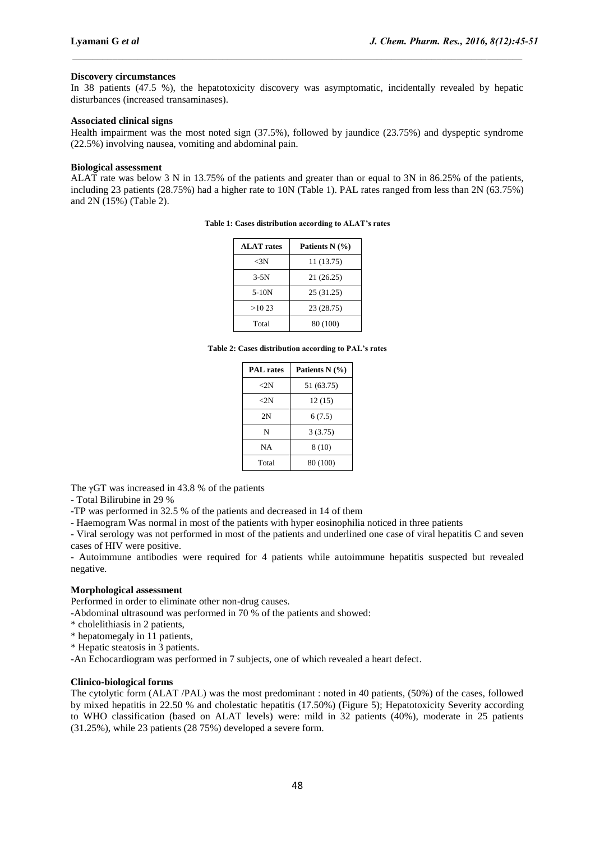## **Discovery circumstances**

In 38 patients (47.5 %), the hepatotoxicity discovery was asymptomatic, incidentally revealed by hepatic disturbances (increased transaminases).

 $\_$  , and the state of the state of the state of the state of the state of the state of the state of the state of the state of the state of the state of the state of the state of the state of the state of the state of the

# **Associated clinical signs**

Health impairment was the most noted sign (37.5%), followed by jaundice (23.75%) and dyspeptic syndrome (22.5%) involving nausea, vomiting and abdominal pain.

### **Biological assessment**

ALAT rate was below 3 N in 13.75% of the patients and greater than or equal to 3N in 86.25% of the patients, including 23 patients (28.75%) had a higher rate to 10N (Table 1). PAL rates ranged from less than 2N (63.75%) and 2N (15%) (Table 2).

| <b>ALAT</b> rates | Patients $N$ $(\% )$ |  |
|-------------------|----------------------|--|
| $<$ 3N            | 11 (13.75)           |  |
| $3-5N$            | 21 (26.25)           |  |
| $5-10N$           | 25(31.25)            |  |
| >10.23            | 23 (28.75)           |  |
| Total             | 80 (100)             |  |

**Table 1: Cases distribution according to ALAT's rates**

**Table 2: Cases distribution according to PAL's rates**

| <b>PAL</b> rates | Patients $N(\%)$ |  |
|------------------|------------------|--|
| ${<}2\mathrm{N}$ | 51 (63.75)       |  |
| $\langle 2N$     | 12(15)           |  |
| 2N               | 6(7.5)           |  |
| N                | 3(3.75)          |  |
| NA               | 8(10)            |  |
| Total            | 80 (100)         |  |

The γGT was increased in 43.8 % of the patients

- Total Bilirubine in 29 %

-TP was performed in 32.5 % of the patients and decreased in 14 of them

- Haemogram Was normal in most of the patients with hyper eosinophilia noticed in three patients

- Viral serology was not performed in most of the patients and underlined one case of viral hepatitis C and seven cases of HIV were positive.

- Autoimmune antibodies were required for 4 patients while autoimmune hepatitis suspected but revealed negative.

## **Morphological assessment**

Performed in order to eliminate other non-drug causes.

-Abdominal ultrasound was performed in 70 % of the patients and showed:

- \* cholelithiasis in 2 patients,
- \* hepatomegaly in 11 patients,
- \* Hepatic steatosis in 3 patients.

-An Echocardiogram was performed in 7 subjects, one of which revealed a heart defect.

# **Clinico-biological forms**

The cytolytic form (ALAT /PAL) was the most predominant : noted in 40 patients, (50%) of the cases, followed by mixed hepatitis in 22.50 % and cholestatic hepatitis (17.50%) (Figure 5); Hepatotoxicity Severity according to WHO classification (based on ALAT levels) were: mild in 32 patients (40%), moderate in 25 patients (31.25%), while 23 patients (28 75%) developed a severe form.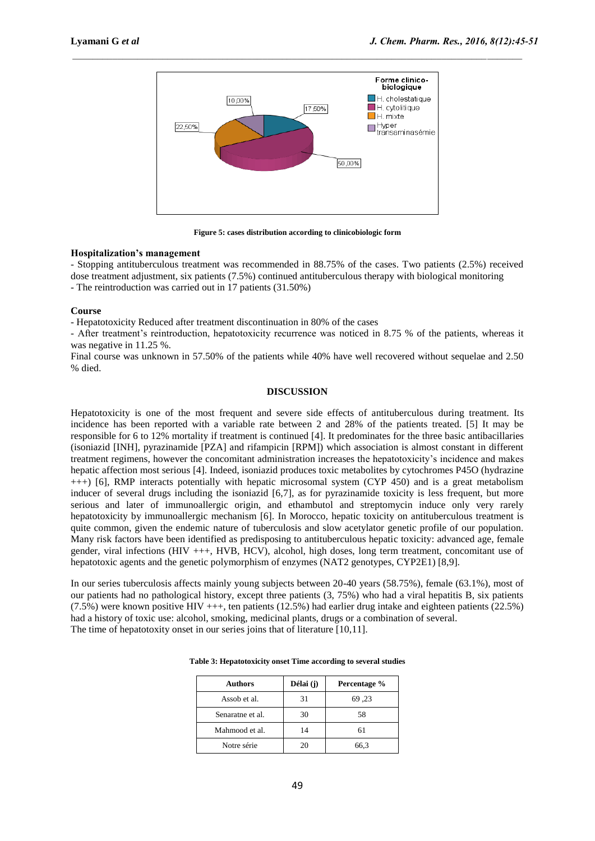

**Figure 5: cases distribution according to clinicobiologic form**

## **Hospitalization's management**

- Stopping antituberculous treatment was recommended in 88.75% of the cases. Two patients (2.5%) received dose treatment adjustment, six patients (7.5%) continued antituberculous therapy with biological monitoring

- The reintroduction was carried out in 17 patients (31.50%)

### **Course**

- Hepatotoxicity Reduced after treatment discontinuation in 80% of the cases

- After treatment's reintroduction, hepatotoxicity recurrence was noticed in 8.75 % of the patients, whereas it was negative in 11.25 %.

Final course was unknown in 57.50% of the patients while 40% have well recovered without sequelae and 2.50 % died.

# **DISCUSSION**

Hepatotoxicity is one of the most frequent and severe side effects of antituberculous during treatment. Its incidence has been reported with a variable rate between 2 and 28% of the patients treated. [5] It may be responsible for 6 to 12% mortality if treatment is continued [4]. It predominates for the three basic antibacillaries (isoniazid [INH], pyrazinamide [PZA] and rifampicin [RPM]) which association is almost constant in different treatment regimens, however the concomitant administration increases the hepatotoxicity's incidence and makes hepatic affection most serious [4]. Indeed, isoniazid produces toxic metabolites by cytochromes P45O (hydrazine +++) [6], RMP interacts potentially with hepatic microsomal system (CYP 450) and is a great metabolism inducer of several drugs including the isoniazid [6,7], as for pyrazinamide toxicity is less frequent, but more serious and later of immunoallergic origin, and ethambutol and streptomycin induce only very rarely hepatotoxicity by immunoallergic mechanism [6]. In Morocco, hepatic toxicity on antituberculous treatment is quite common, given the endemic nature of tuberculosis and slow acetylator genetic profile of our population. Many risk factors have been identified as predisposing to antituberculous hepatic toxicity: advanced age, female gender, viral infections (HIV +++, HVB, HCV), alcohol, high doses, long term treatment, concomitant use of hepatotoxic agents and the genetic polymorphism of enzymes (NAT2 genotypes, CYP2E1) [8,9].

In our series tuberculosis affects mainly young subjects between 20-40 years (58.75%), female (63.1%), most of our patients had no pathological history, except three patients (3, 75%) who had a viral hepatitis B, six patients (7.5%) were known positive HIV +++, ten patients (12.5%) had earlier drug intake and eighteen patients (22.5%) had a history of toxic use: alcohol, smoking, medicinal plants, drugs or a combination of several. The time of hepatotoxity onset in our series joins that of literature [10,11].

| <b>Authors</b>   | Délai (j) | Percentage % |
|------------------|-----------|--------------|
| Assob et al.     | 31        | <b>69,23</b> |
| Senaratne et al. | 30        | 58           |
| Mahmood et al.   | 14        | 61           |
| Notre série      | 20        | 66.3         |

**Table 3: Hepatotoxicity onset Time according to several studies**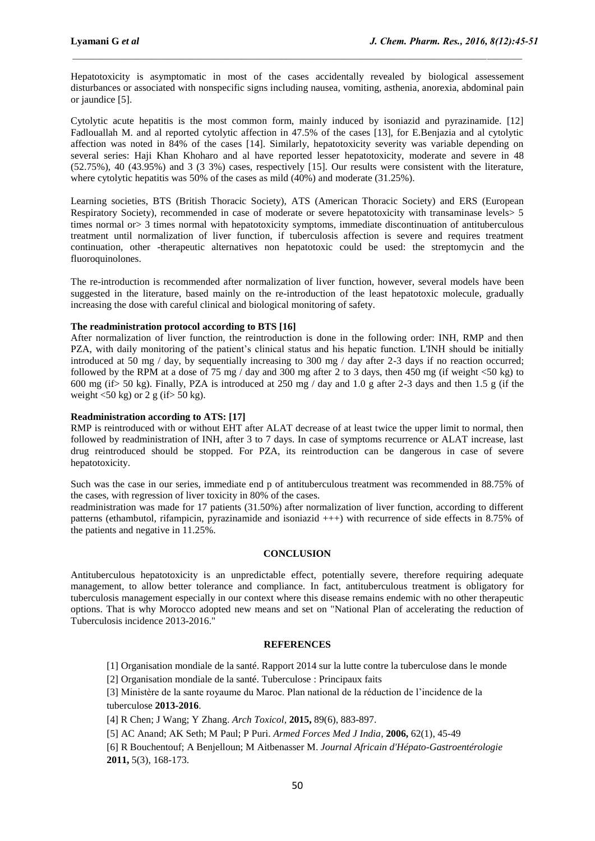Hepatotoxicity is asymptomatic in most of the cases accidentally revealed by biological assessement disturbances or associated with nonspecific signs including nausea, vomiting, asthenia, anorexia, abdominal pain or jaundice [5].

 $\_$  , and the state of the state of the state of the state of the state of the state of the state of the state of the state of the state of the state of the state of the state of the state of the state of the state of the

Cytolytic acute hepatitis is the most common form, mainly induced by isoniazid and pyrazinamide. [12] Fadlouallah M. and al reported cytolytic affection in 47.5% of the cases [13], for E.Benjazia and al cytolytic affection was noted in 84% of the cases [14]. Similarly, hepatotoxicity severity was variable depending on several series: Haji Khan Khoharo and al have reported lesser hepatotoxicity, moderate and severe in 48 (52.75%), 40 (43.95%) and 3 (3 3%) cases, respectively [15]. Our results were consistent with the literature, where cytolytic hepatitis was 50% of the cases as mild (40%) and moderate (31.25%).

Learning societies, BTS (British Thoracic Society), ATS (American Thoracic Society) and ERS (European Respiratory Society), recommended in case of moderate or severe hepatotoxicity with transaminase levels> 5 times normal or  $\geq$  3 times normal with hepatotoxicity symptoms, immediate discontinuation of antituberculous treatment until normalization of liver function, if tuberculosis affection is severe and requires treatment continuation, other -therapeutic alternatives non hepatotoxic could be used: the streptomycin and the fluoroquinolones.

The re-introduction is recommended after normalization of liver function, however, several models have been suggested in the literature, based mainly on the re-introduction of the least hepatotoxic molecule, gradually increasing the dose with careful clinical and biological monitoring of safety.

# **The readministration protocol according to BTS [16]**

After normalization of liver function, the reintroduction is done in the following order: INH, RMP and then PZA, with daily monitoring of the patient's clinical status and his hepatic function. L'INH should be initially introduced at 50 mg / day, by sequentially increasing to 300 mg / day after 2-3 days if no reaction occurred; followed by the RPM at a dose of 75 mg / day and 300 mg after 2 to 3 days, then 450 mg (if weight <50 kg) to 600 mg (if> 50 kg). Finally, PZA is introduced at 250 mg / day and 1.0 g after 2-3 days and then 1.5 g (if the weight  $\langle 50 \text{ kg} \rangle$  or 2 g (if  $> 50 \text{ kg}$ ).

### **Readministration according to ATS: [17]**

RMP is reintroduced with or without EHT after ALAT decrease of at least twice the upper limit to normal, then followed by readministration of INH, after 3 to 7 days. In case of symptoms recurrence or ALAT increase, last drug reintroduced should be stopped. For PZA, its reintroduction can be dangerous in case of severe hepatotoxicity.

Such was the case in our series, immediate end p of antituberculous treatment was recommended in 88.75% of the cases, with regression of liver toxicity in 80% of the cases.

readministration was made for 17 patients (31.50%) after normalization of liver function, according to different patterns (ethambutol, rifampicin, pyrazinamide and isoniazid +++) with recurrence of side effects in 8.75% of the patients and negative in 11.25%.

# **CONCLUSION**

Antituberculous hepatotoxicity is an unpredictable effect, potentially severe, therefore requiring adequate management, to allow better tolerance and compliance. In fact, antituberculous treatment is obligatory for tuberculosis management especially in our context where this disease remains endemic with no other therapeutic options. That is why Morocco adopted new means and set on "National Plan of accelerating the reduction of Tuberculosis incidence 2013-2016."

#### **REFERENCES**

[1] Organisation mondiale de la santé. Rapport 2014 sur la lutte contre la tuberculose dans le monde

[2] Organisation mondiale de la santé. Tuberculose : Principaux faits

[3] Ministère de la sante royaume du Maroc. Plan national de la réduction de l'incidence de la tuberculose **2013-2016**.

[4] R Chen; J Wang; Y Zhang. *Arch Toxicol,* **2015,** 89(6), 883-897.

[5] AC Anand; AK Seth; M Paul; P Puri. *Armed Forces Med J India,* **2006,** 62(1), 45-49

[6] R Bouchentouf; A Benjelloun; M Aitbenasser M. *Journal Africain d'Hépato-Gastroentérologie*  **2011,** 5(3), 168-173.